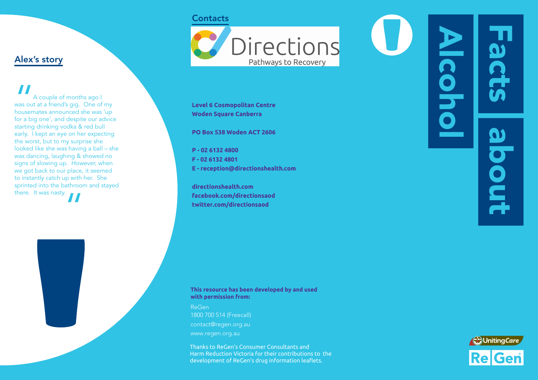# **Contacts**



**Level 6 Cosmopolitan Centre Woden Square Canberra**

**PO Box 538 Woden ACT 2606**

**P - 02 6132 4800 F - 02 6132 4801 E - reception@directionshealth.com**

**directionshealth.com facebook.com/directionsaod twitter.com/directionsaod**

# **CONC** pout

### **This resource has been developed by and used with permission from:**

ReGen 1800 700 514 (Freecall) contact@regen.org.au www.regen.org.au

Thanks to ReGen's Consumer Consultants and Harm Reduction Victoria for their contributions to the development of ReGen's drug information leaflets.



# Alex's story

**II**<br>
was out<br>
housem<br>
for a bio A couple of months ago I was out at a friend's gig. One of my housemates announced she was 'up for a big one', and despite our advice starting drinking vodka & red bull early. I kept an eye on her expecting the worst, but to my surprise she looked like she was having a ball – she was dancing, laughing & showed no signs of slowing up. However, when we got back to our place, it seemed to instantly catch up with her. She sprinted into the bathroom and stayed there. It was nasty.